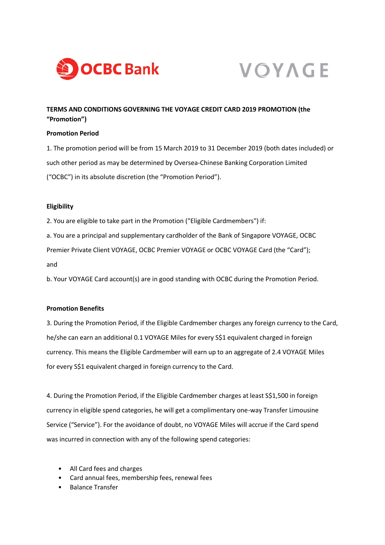



# **TERMS AND CONDITIONS GOVERNING THE VOYAGE CREDIT CARD 2019 PROMOTION (the "Promotion")**

#### **Promotion Period**

1. The promotion period will be from 15 March 2019 to 31 December 2019 (both dates included) or such other period as may be determined by Oversea-Chinese Banking Corporation Limited ("OCBC") in its absolute discretion (the "Promotion Period").

### **Eligibility**

2. You are eligible to take part in the Promotion ("Eligible Cardmembers") if:

a. You are a principal and supplementary cardholder of the Bank of Singapore VOYAGE, OCBC

Premier Private Client VOYAGE, OCBC Premier VOYAGE or OCBC VOYAGE Card (the "Card"); and

b. Your VOYAGE Card account(s) are in good standing with OCBC during the Promotion Period.

## **Promotion Benefits**

3. During the Promotion Period, if the Eligible Cardmember charges any foreign currency to the Card, he/she can earn an additional 0.1 VOYAGE Miles for every S\$1 equivalent charged in foreign currency. This means the Eligible Cardmember will earn up to an aggregate of 2.4 VOYAGE Miles for every S\$1 equivalent charged in foreign currency to the Card.

4. During the Promotion Period, if the Eligible Cardmember charges at least S\$1,500 in foreign currency in eligible spend categories, he will get a complimentary one-way Transfer Limousine Service ("Service"). For the avoidance of doubt, no VOYAGE Miles will accrue if the Card spend was incurred in connection with any of the following spend categories:

- All Card fees and charges
- Card annual fees, membership fees, renewal fees
- Balance Transfer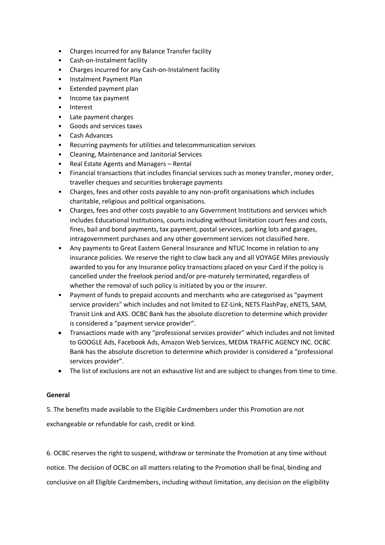- Charges incurred for any Balance Transfer facility
- Cash-on-Instalment facility
- Charges incurred for any Cash-on-Instalment facility
- Instalment Payment Plan
- Extended payment plan
- Income tax payment
- **Interest**
- Late payment charges
- Goods and services taxes
- Cash Advances
- Recurring payments for utilities and telecommunication services
- Cleaning, Maintenance and Janitorial Services
- Real Estate Agents and Managers Rental
- Financial transactions that includes financial services such as money transfer, money order, traveller cheques and securities brokerage payments
- Charges, fees and other costs payable to any non-profit organisations which includes charitable, religious and political organisations.
- Charges, fees and other costs payable to any Government Institutions and services which includes Educational Institutions, courts including without limitation court fees and costs, fines, bail and bond payments, tax payment, postal services, parking lots and garages, intragovernment purchases and any other government services not classified here.
- Any payments to Great Eastern General Insurance and NTUC Income in relation to any insurance policies. We reserve the right to claw back any and all VOYAGE Miles previously awarded to you for any Insurance policy transactions placed on your Card if the policy is cancelled under the freelook period and/or pre-maturely terminated, regardless of whether the removal of such policy is initiated by you or the insurer.
- Payment of funds to prepaid accounts and merchants who are categorised as "payment service providers" which includes and not limited to EZ-Link, NETS FlashPay, eNETS, SAM, Transit Link and AXS. OCBC Bank has the absolute discretion to determine which provider is considered a "payment service provider".
- Transactions made with any "professional services provider" which includes and not limited to GOOGLE Ads, Facebook Ads, Amazon Web Services, MEDIA TRAFFIC AGENCY INC. OCBC Bank has the absolute discretion to determine which provider is considered a "professional services provider".
- The list of exclusions are not an exhaustive list and are subject to changes from time to time.

### **General**

5. The benefits made available to the Eligible Cardmembers under this Promotion are not exchangeable or refundable for cash, credit or kind.

6. OCBC reserves the right to suspend, withdraw or terminate the Promotion at any time without notice. The decision of OCBC on all matters relating to the Promotion shall be final, binding and conclusive on all Eligible Cardmembers, including without limitation, any decision on the eligibility